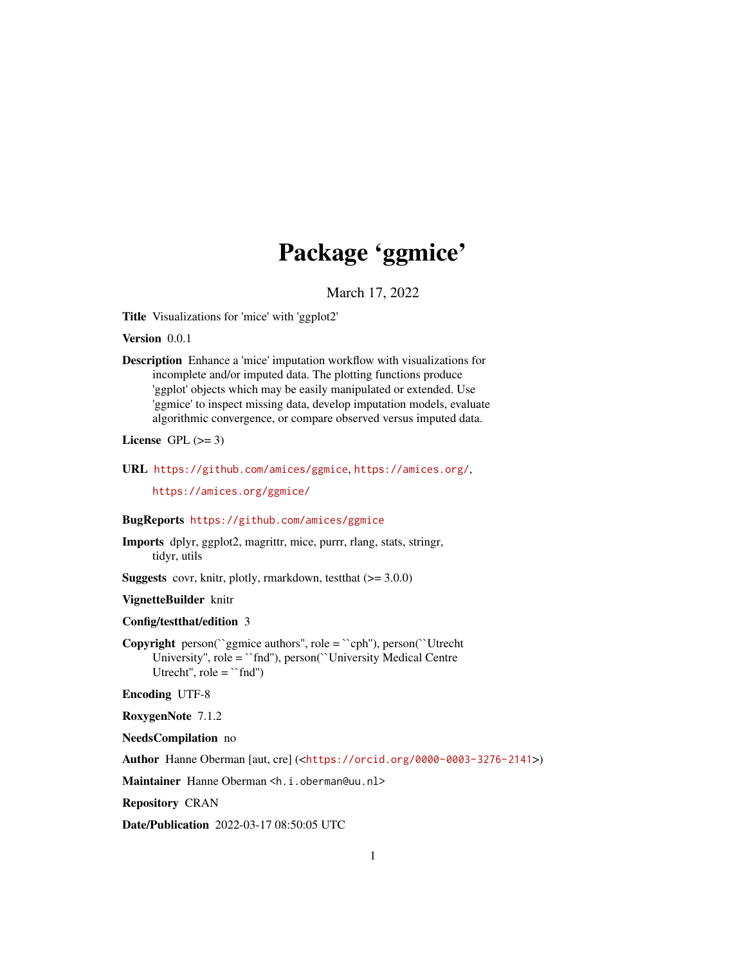# Package 'ggmice'

March 17, 2022

<span id="page-0-0"></span>Title Visualizations for 'mice' with 'ggplot2'

Version 0.0.1

Description Enhance a 'mice' imputation workflow with visualizations for incomplete and/or imputed data. The plotting functions produce 'ggplot' objects which may be easily manipulated or extended. Use 'ggmice' to inspect missing data, develop imputation models, evaluate algorithmic convergence, or compare observed versus imputed data.

License GPL  $(>= 3)$ 

URL <https://github.com/amices/ggmice>, <https://amices.org/>,

<https://amices.org/ggmice/>

#### BugReports <https://github.com/amices/ggmice>

- Imports dplyr, ggplot2, magrittr, mice, purrr, rlang, stats, stringr, tidyr, utils
- **Suggests** covr, knitr, plotly, rmarkdown, test that  $(>= 3.0.0)$

VignetteBuilder knitr

Config/testthat/edition 3

Copyright person(``ggmice authors'', role = ``cph''), person(``Utrecht University'', role = ``fnd''), person(``University Medical Centre Utrecht'',  $role = "find"$ )

Encoding UTF-8

RoxygenNote 7.1.2

NeedsCompilation no

Author Hanne Oberman [aut, cre] (<<https://orcid.org/0000-0003-3276-2141>>)

Maintainer Hanne Oberman <h.i.oberman@uu.nl>

Repository CRAN

Date/Publication 2022-03-17 08:50:05 UTC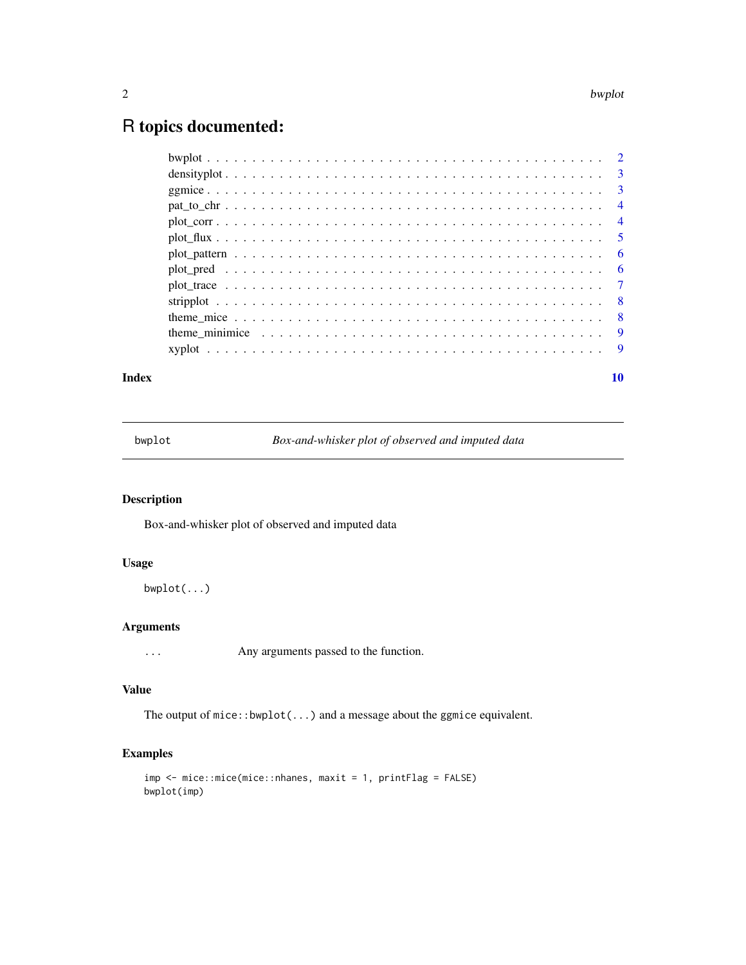# <span id="page-1-0"></span>R topics documented:

| theme minimice $\ldots \ldots \ldots \ldots \ldots \ldots \ldots \ldots \ldots \ldots \ldots \ldots$ |  |
|------------------------------------------------------------------------------------------------------|--|
|                                                                                                      |  |
|                                                                                                      |  |

#### $\blacksquare$

bwplot *Box-and-whisker plot of observed and imputed data*

# Description

Box-and-whisker plot of observed and imputed data

## Usage

bwplot(...)

#### Arguments

... Any arguments passed to the function.

# Value

The output of mice::bwplot(...) and a message about the ggmice equivalent.

# Examples

```
imp <- mice::mice(mice::nhanes, maxit = 1, printFlag = FALSE)
bwplot(imp)
```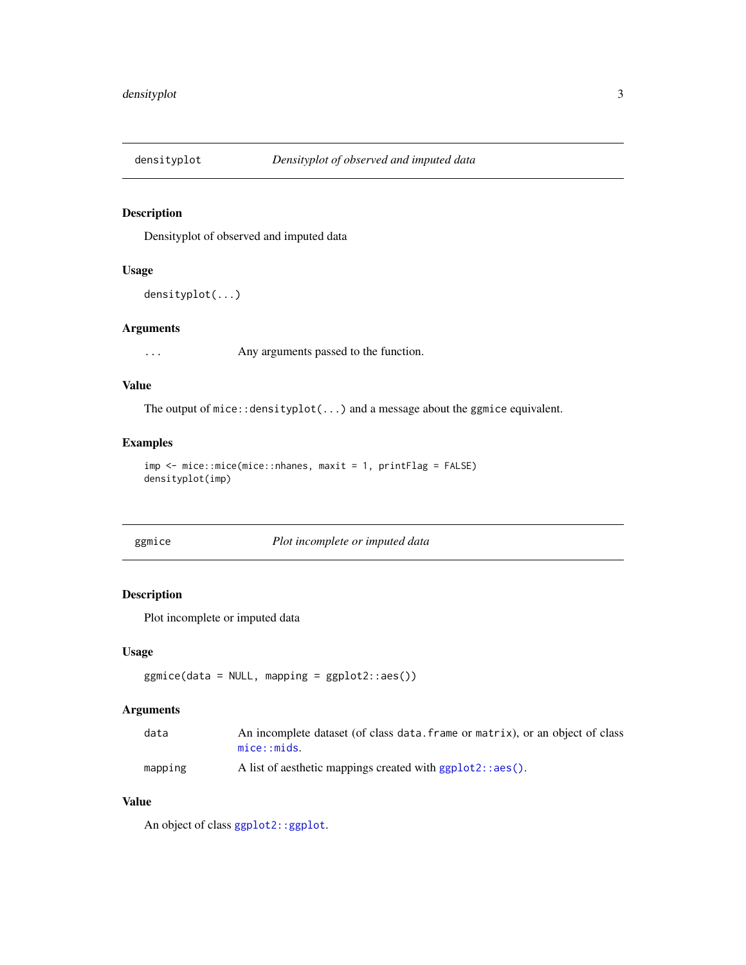<span id="page-2-0"></span>

# Description

Densityplot of observed and imputed data

#### Usage

```
densityplot(...)
```
#### Arguments

... Any arguments passed to the function.

#### Value

The output of mice::densityplot(...) and a message about the ggmice equivalent.

#### Examples

```
imp <- mice::mice(mice::nhanes, maxit = 1, printFlag = FALSE)
densityplot(imp)
```
ggmice *Plot incomplete or imputed data*

#### Description

Plot incomplete or imputed data

#### Usage

```
ggmice(data = NULL, mapping = ggplot2::aes())
```
# Arguments

| data    | An incomplete dataset (of class data, frame or matrix), or an object of class |
|---------|-------------------------------------------------------------------------------|
|         | mice: mids.                                                                   |
| mapping | A list of aesthetic mappings created with $ggplot2::aes()$ .                  |

#### Value

An object of class [ggplot2::ggplot](#page-0-0).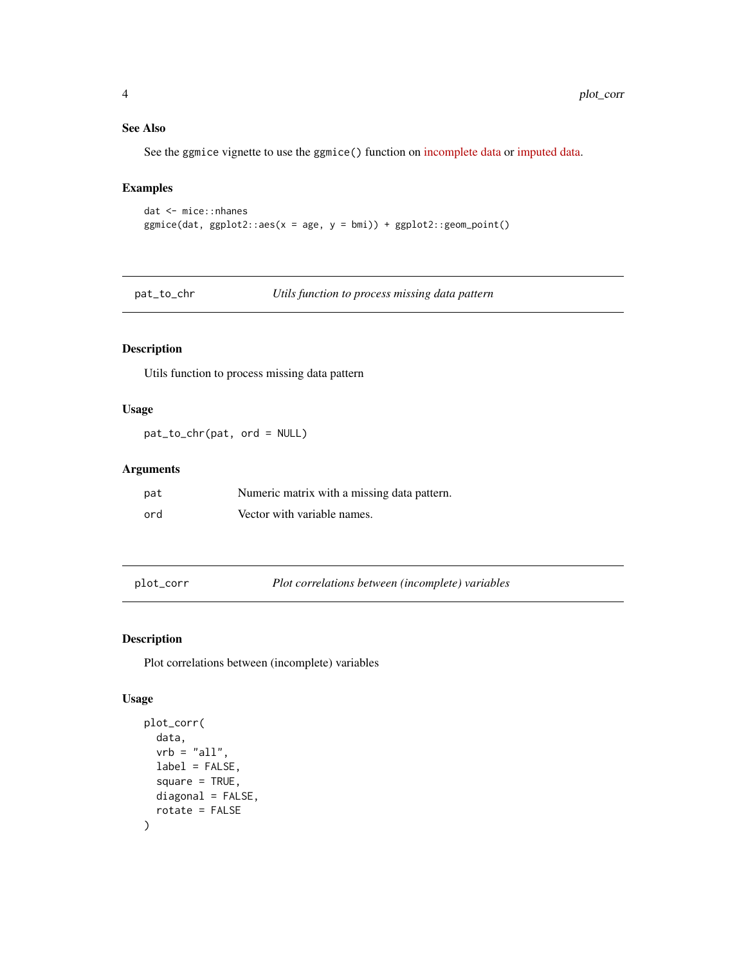#### See Also

See the ggmice vignette to use the ggmice() function on [incomplete data](https://amices.org/ggmice/articles/ggmice.html#the-ggmice-function) or [imputed data.](https://amices.org/ggmice/articles/ggmice.html#the-ggmice-function-1)

# Examples

```
dat <- mice::nhanes
ggmicedat, ggplot2::aes(x = age, y = bmi)) + ggplot2::geom\_point()
```
pat\_to\_chr *Utils function to process missing data pattern*

# Description

Utils function to process missing data pattern

# Usage

pat\_to\_chr(pat, ord = NULL)

# Arguments

| pat | Numeric matrix with a missing data pattern. |
|-----|---------------------------------------------|
| ord | Vector with variable names.                 |

plot\_corr *Plot correlations between (incomplete) variables*

#### Description

Plot correlations between (incomplete) variables

#### Usage

```
plot_corr(
  data,
  vrb = "all".label = FALSE,
  square = TRUE,
  diagonal = FALSE,
  rotate = FALSE
\mathcal{E}
```
<span id="page-3-0"></span>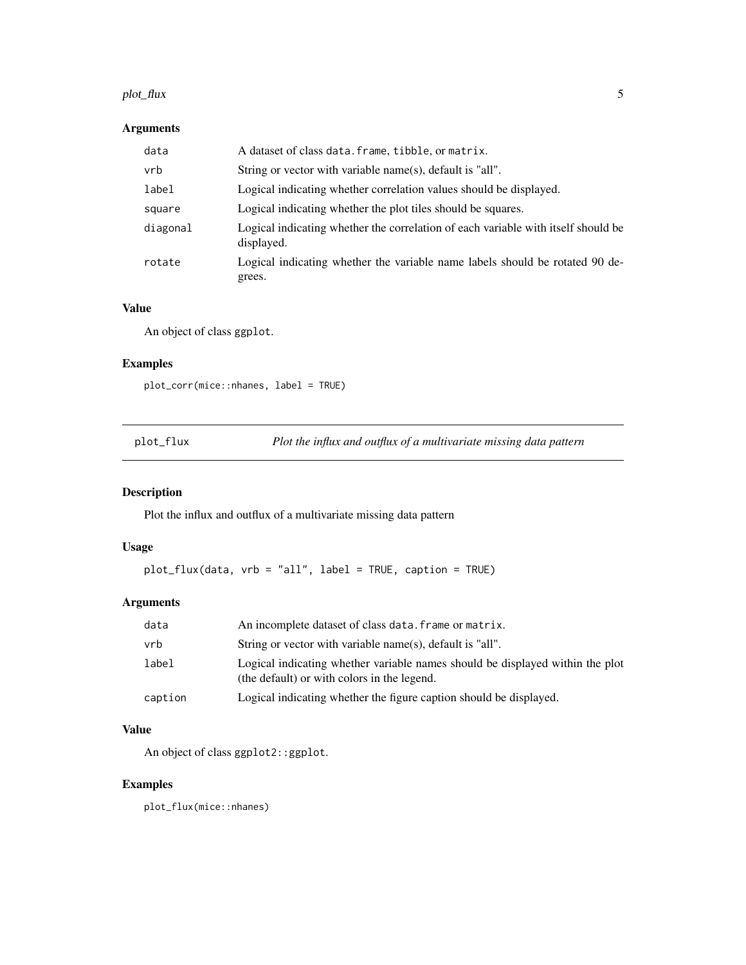#### <span id="page-4-0"></span>plot\_flux 5

# Arguments

| data     | A dataset of class data. frame, tibble, or matrix.                                              |
|----------|-------------------------------------------------------------------------------------------------|
| vrb      | String or vector with variable name(s), default is "all".                                       |
| label    | Logical indicating whether correlation values should be displayed.                              |
| square   | Logical indicating whether the plot tiles should be squares.                                    |
| diagonal | Logical indicating whether the correlation of each variable with itself should be<br>displayed. |
| rotate   | Logical indicating whether the variable name labels should be rotated 90 de-<br>grees.          |

# Value

An object of class ggplot.

# Examples

plot\_corr(mice::nhanes, label = TRUE)

plot\_flux *Plot the influx and outflux of a multivariate missing data pattern*

# Description

Plot the influx and outflux of a multivariate missing data pattern

# Usage

```
plot_flux(data, vrb = "all", label = TRUE, caption = TRUE)
```
# Arguments

| data    | An incomplete dataset of class data. frame or matrix.                                                                        |
|---------|------------------------------------------------------------------------------------------------------------------------------|
| vrb     | String or vector with variable name(s), default is "all".                                                                    |
| label   | Logical indicating whether variable names should be displayed within the plot<br>(the default) or with colors in the legend. |
| caption | Logical indicating whether the figure caption should be displayed.                                                           |

# Value

An object of class ggplot2::ggplot.

# Examples

plot\_flux(mice::nhanes)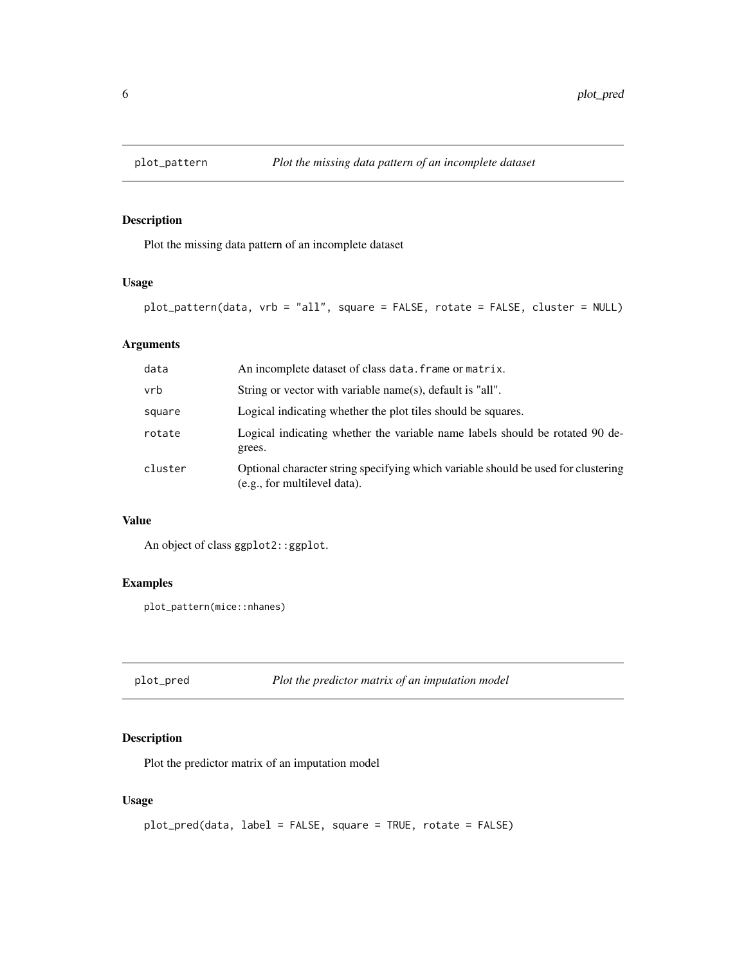<span id="page-5-0"></span>

# Description

Plot the missing data pattern of an incomplete dataset

#### Usage

```
plot_pattern(data, vrb = "all", square = FALSE, rotate = FALSE, cluster = NULL)
```
# Arguments

| data    | An incomplete dataset of class data. frame or matrix.                                                             |
|---------|-------------------------------------------------------------------------------------------------------------------|
| vrb     | String or vector with variable name(s), default is "all".                                                         |
| square  | Logical indicating whether the plot tiles should be squares.                                                      |
| rotate  | Logical indicating whether the variable name labels should be rotated 90 de-<br>grees.                            |
| cluster | Optional character string specifying which variable should be used for clustering<br>(e.g., for multilevel data). |

#### Value

An object of class ggplot2::ggplot.

# Examples

plot\_pattern(mice::nhanes)

plot\_pred *Plot the predictor matrix of an imputation model*

# Description

Plot the predictor matrix of an imputation model

#### Usage

```
plot_pred(data, label = FALSE, square = TRUE, rotate = FALSE)
```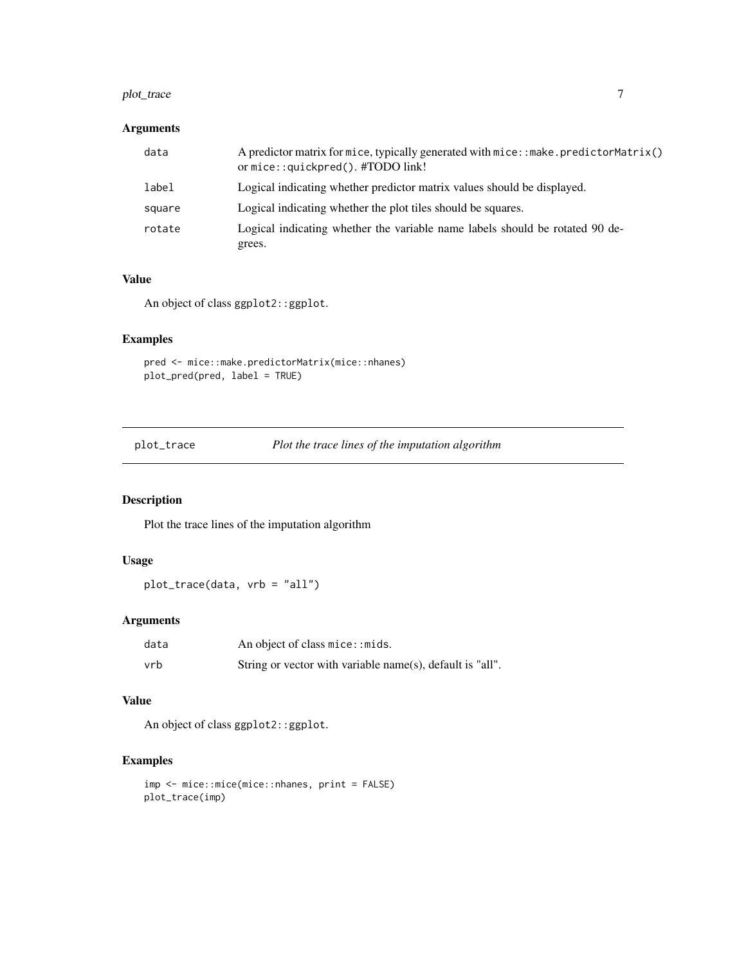#### <span id="page-6-0"></span>plot\_trace 7

#### Arguments

| A predictor matrix for mice, typically generated with mice: : make. predictorMatrix()<br>or mice::quickpred(). #TODO link! |
|----------------------------------------------------------------------------------------------------------------------------|
| Logical indicating whether predictor matrix values should be displayed.                                                    |
| Logical indicating whether the plot tiles should be squares.                                                               |
| Logical indicating whether the variable name labels should be rotated 90 de-<br>grees.                                     |
|                                                                                                                            |

#### Value

An object of class ggplot2::ggplot.

# Examples

```
pred <- mice::make.predictorMatrix(mice::nhanes)
plot_pred(pred, label = TRUE)
```
plot\_trace *Plot the trace lines of the imputation algorithm*

# Description

Plot the trace lines of the imputation algorithm

#### Usage

plot\_trace(data, vrb = "all")

# Arguments

| data | An object of class mice: : mids.                          |
|------|-----------------------------------------------------------|
| vrb  | String or vector with variable name(s), default is "all". |

#### Value

An object of class ggplot2::ggplot.

# Examples

```
imp <- mice::mice(mice::nhanes, print = FALSE)
plot_trace(imp)
```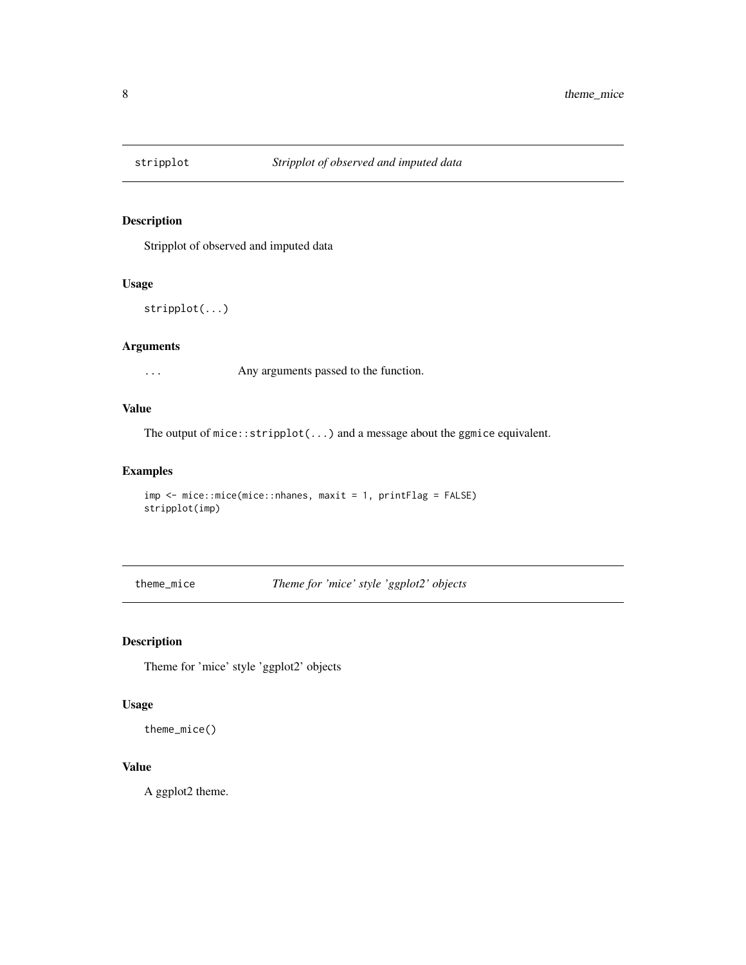<span id="page-7-0"></span>

# Description

Stripplot of observed and imputed data

#### Usage

```
stripplot(...)
```
#### Arguments

... Any arguments passed to the function.

# Value

The output of mice::stripplot(...) and a message about the ggmice equivalent.

# Examples

```
imp <- mice::mice(mice::nhanes, maxit = 1, printFlag = FALSE)
stripplot(imp)
```
theme\_mice *Theme for 'mice' style 'ggplot2' objects*

# Description

Theme for 'mice' style 'ggplot2' objects

# Usage

theme\_mice()

# Value

A ggplot2 theme.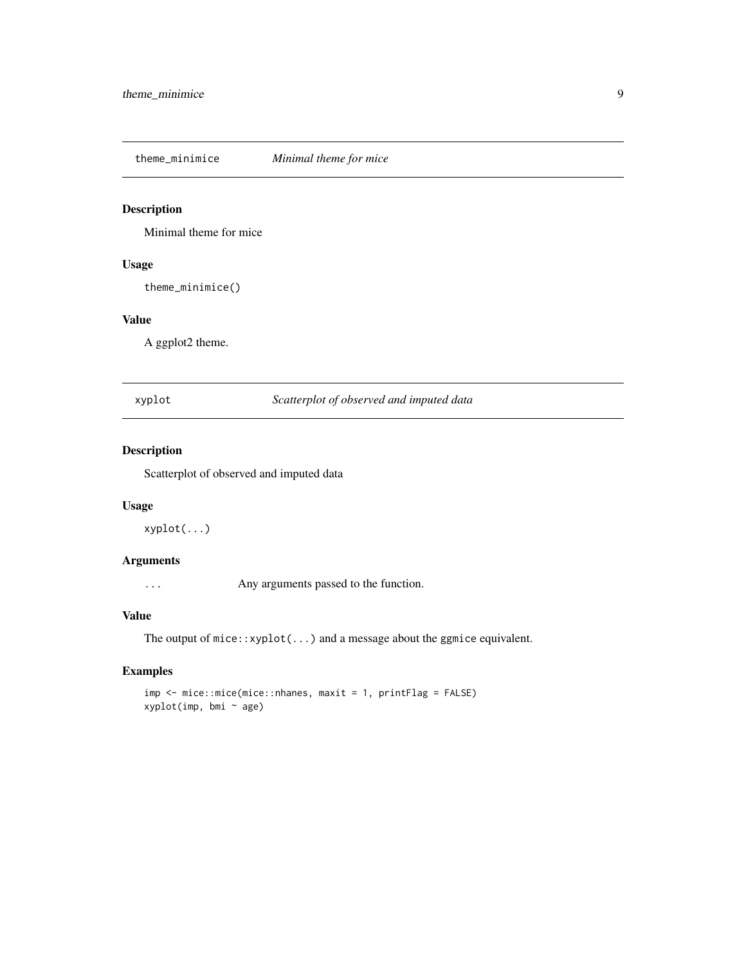<span id="page-8-0"></span>theme\_minimice *Minimal theme for mice*

# Description

Minimal theme for mice

# Usage

theme\_minimice()

# Value

A ggplot2 theme.

xyplot *Scatterplot of observed and imputed data*

# Description

Scatterplot of observed and imputed data

#### Usage

xyplot(...)

# Arguments

... Any arguments passed to the function.

#### Value

The output of mice::xyplot(...) and a message about the ggmice equivalent.

# Examples

imp <- mice::mice(mice::nhanes, maxit = 1, printFlag = FALSE) xyplot(imp, bmi ~ age)